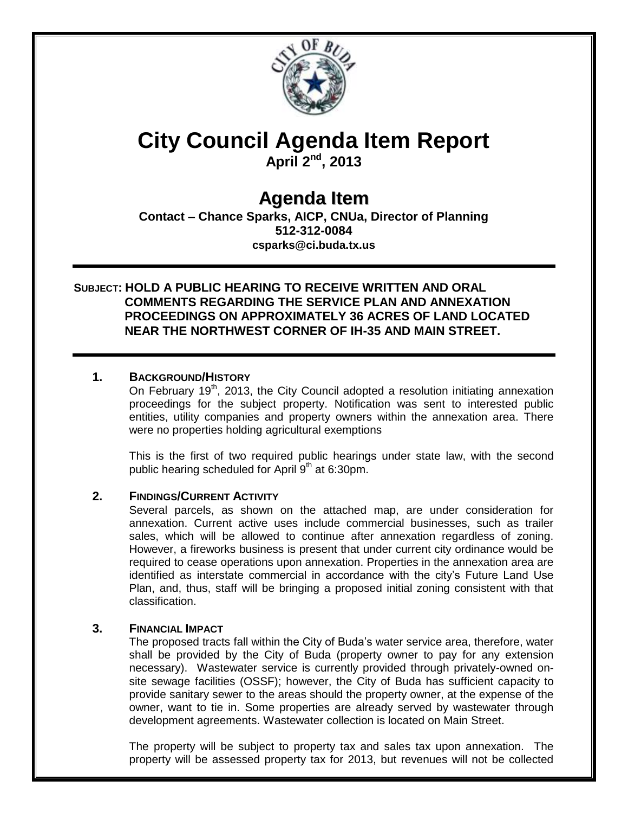

# **City Council Agenda Item Report**

**April 2nd, 2013**

# **Agenda Item**

**Contact – Chance Sparks, AICP, CNUa, Director of Planning 512-312-0084 csparks@ci.buda.tx.us**

## **SUBJECT: HOLD A PUBLIC HEARING TO RECEIVE WRITTEN AND ORAL COMMENTS REGARDING THE SERVICE PLAN AND ANNEXATION PROCEEDINGS ON APPROXIMATELY 36 ACRES OF LAND LOCATED NEAR THE NORTHWEST CORNER OF IH-35 AND MAIN STREET.**

### **1. BACKGROUND/HISTORY**

On February 19<sup>th</sup>, 2013, the City Council adopted a resolution initiating annexation proceedings for the subject property. Notification was sent to interested public entities, utility companies and property owners within the annexation area. There were no properties holding agricultural exemptions

This is the first of two required public hearings under state law, with the second public hearing scheduled for April  $9<sup>th</sup>$  at 6:30pm.

#### **2. FINDINGS/CURRENT ACTIVITY**

Several parcels, as shown on the attached map, are under consideration for annexation. Current active uses include commercial businesses, such as trailer sales, which will be allowed to continue after annexation regardless of zoning. However, a fireworks business is present that under current city ordinance would be required to cease operations upon annexation. Properties in the annexation area are identified as interstate commercial in accordance with the city's Future Land Use Plan, and, thus, staff will be bringing a proposed initial zoning consistent with that classification.

#### **3. FINANCIAL IMPACT**

The proposed tracts fall within the City of Buda's water service area, therefore, water shall be provided by the City of Buda (property owner to pay for any extension necessary). Wastewater service is currently provided through privately-owned onsite sewage facilities (OSSF); however, the City of Buda has sufficient capacity to provide sanitary sewer to the areas should the property owner, at the expense of the owner, want to tie in. Some properties are already served by wastewater through development agreements. Wastewater collection is located on Main Street.

The property will be subject to property tax and sales tax upon annexation. The property will be assessed property tax for 2013, but revenues will not be collected